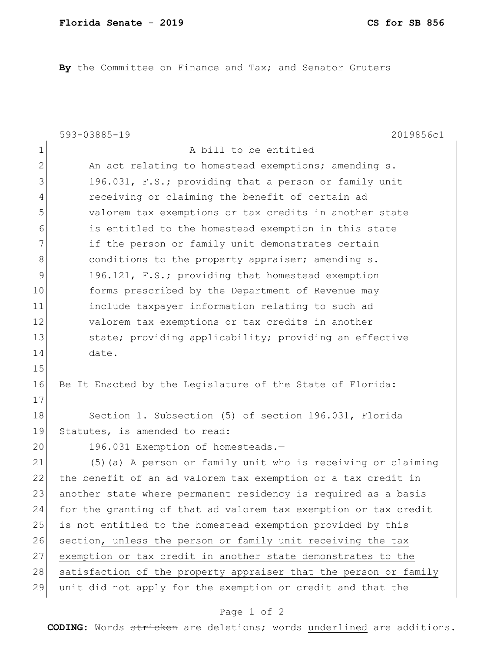**By** the Committee on Finance and Tax; and Senator Gruters

|              | 593-03885-19<br>2019856c1                                        |
|--------------|------------------------------------------------------------------|
| 1            | A bill to be entitled                                            |
| $\mathbf{2}$ | An act relating to homestead exemptions; amending s.             |
| 3            | 196.031, F.S.; providing that a person or family unit            |
| 4            | receiving or claiming the benefit of certain ad                  |
| 5            | valorem tax exemptions or tax credits in another state           |
| 6            | is entitled to the homestead exemption in this state             |
| 7            | if the person or family unit demonstrates certain                |
| 8            | conditions to the property appraiser; amending s.                |
| 9            | 196.121, F.S.; providing that homestead exemption                |
| 10           | forms prescribed by the Department of Revenue may                |
| 11           | include taxpayer information relating to such ad                 |
| 12           | valorem tax exemptions or tax credits in another                 |
| 13           | state; providing applicability; providing an effective           |
| 14           | date.                                                            |
| 15           |                                                                  |
| 16           | Be It Enacted by the Legislature of the State of Florida:        |
| 17           |                                                                  |
| 18           | Section 1. Subsection (5) of section 196.031, Florida            |
| 19           | Statutes, is amended to read:                                    |
| 20           | 196.031 Exemption of homesteads.-                                |
| 21           | (5) (a) A person or family unit who is receiving or claiming     |
| 22           | the benefit of an ad valorem tax exemption or a tax credit in    |
| 23           | another state where permanent residency is required as a basis   |
| 24           | for the granting of that ad valorem tax exemption or tax credit  |
| 25           | is not entitled to the homestead exemption provided by this      |
| 26           | section, unless the person or family unit receiving the tax      |
| 27           | exemption or tax credit in another state demonstrates to the     |
| 28           | satisfaction of the property appraiser that the person or family |
| 29           | unit did not apply for the exemption or credit and that the      |
|              |                                                                  |

## Page 1 of 2

**CODING**: Words stricken are deletions; words underlined are additions.